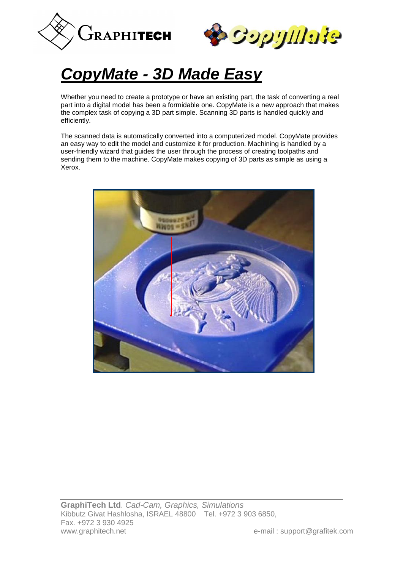



# *CopyMate - 3D Made Easy*

Whether you need to create a prototype or have an existing part, the task of converting a real part into a digital model has been a formidable one. CopyMate is a new approach that makes the complex task of copying a 3D part simple. Scanning 3D parts is handled quickly and efficiently.

The scanned data is automatically converted into a computerized model. CopyMate provides an easy way to edit the model and customize it for production. Machining is handled by a user-friendly wizard that guides the user through the process of creating toolpaths and sending them to the machine. CopyMate makes copying of 3D parts as simple as using a Xerox.

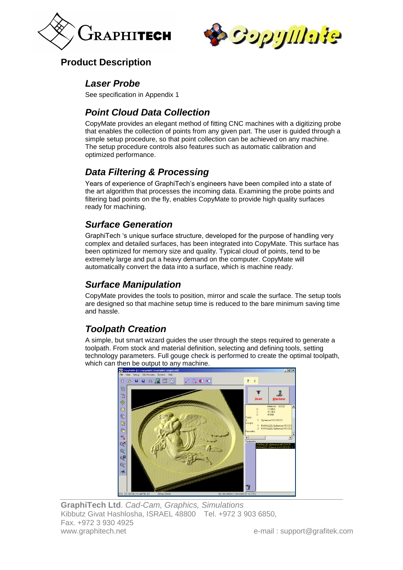



#### **Product Description**

#### *Laser Probe*

See specification in Appendix 1

### *Point Cloud Data Collection*

CopyMate provides an elegant method of fitting CNC machines with a digitizing probe that enables the collection of points from any given part. The user is guided through a simple setup procedure, so that point collection can be achieved on any machine. The setup procedure controls also features such as automatic calibration and optimized performance.

#### *Data Filtering & Processing*

Years of experience of GraphiTech's engineers have been compiled into a state of the art algorithm that processes the incoming data. Examining the probe points and filtering bad points on the fly, enables CopyMate to provide high quality surfaces ready for machining.

#### *Surface Generation*

GraphiTech 's unique surface structure, developed for the purpose of handling very complex and detailed surfaces, has been integrated into CopyMate. This surface has been optimized for memory size and quality. Typical cloud of points, tend to be extremely large and put a heavy demand on the computer. CopyMate will automatically convert the data into a surface, which is machine ready.

#### *Surface Manipulation*

CopyMate provides the tools to position, mirror and scale the surface. The setup tools are designed so that machine setup time is reduced to the bare minimum saving time and hassle.

## *Toolpath Creation*

A simple, but smart wizard guides the user through the steps required to generate a toolpath. From stock and material definition, selecting and defining tools, setting technology parameters. Full gouge check is performed to create the optimal toolpath, which can then be output to any machine.



**GraphiTech Ltd**. *Cad-Cam, Graphics, Simulations* Kibbutz Givat Hashlosha, ISRAEL 48800 Tel. +972 3 903 6850, Fax. +972 3 930 4925 www.graphitech.net e-mail : support@grafitek.com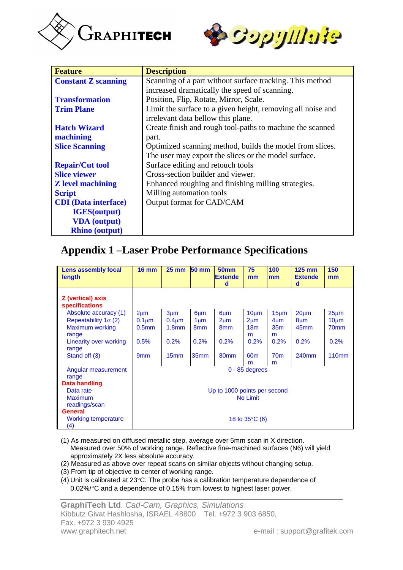



| <b>Feature</b>                | <b>Description</b>                                          |  |  |  |  |  |
|-------------------------------|-------------------------------------------------------------|--|--|--|--|--|
| <b>Constant Z scanning</b>    | Scanning of a part without surface tracking. This method    |  |  |  |  |  |
|                               | increased dramatically the speed of scanning.               |  |  |  |  |  |
| <b>Transformation</b>         | Position, Flip, Rotate, Mirror, Scale.                      |  |  |  |  |  |
| <b>Trim Plane</b>             | Limit the surface to a given height, removing all noise and |  |  |  |  |  |
|                               | irrelevant data bellow this plane.                          |  |  |  |  |  |
| <b>Hatch Wizard</b>           | Create finish and rough tool-paths to machine the scanned   |  |  |  |  |  |
| machining                     | part.                                                       |  |  |  |  |  |
| <b>Slice Scanning</b>         | Optimized scanning method, builds the model from slices.    |  |  |  |  |  |
|                               | The user may export the slices or the model surface.        |  |  |  |  |  |
| <b>Repair/Cut tool</b>        | Surface editing and retouch tools                           |  |  |  |  |  |
| <b>Slice viewer</b>           | Cross-section builder and viewer.                           |  |  |  |  |  |
| <b>Z</b> level machining      | Enhanced roughing and finishing milling strategies.         |  |  |  |  |  |
| <b>Script</b>                 | Milling automation tools                                    |  |  |  |  |  |
| <b>CDI</b> (Data interface)   | Output format for CAD/CAM                                   |  |  |  |  |  |
| <b>IGES</b> ( <i>output</i> ) |                                                             |  |  |  |  |  |
| <b>VDA</b> (output)           |                                                             |  |  |  |  |  |
| <b>Rhino</b> (output)         |                                                             |  |  |  |  |  |

#### **Appendix 1 –Laser Probe Performance Specifications**

| Lens assembly focal<br>length              | <b>16 mm</b>                 | $25 \text{ mm}$   | $50 \, \text{mm}$ | <b>50mm</b><br><b>Extende</b><br>d | 75<br>mm             | 100<br>mm            | <b>125 mm</b><br><b>Extende</b><br>d | 150<br>mm        |  |  |
|--------------------------------------------|------------------------------|-------------------|-------------------|------------------------------------|----------------------|----------------------|--------------------------------------|------------------|--|--|
| Z (vertical) axis<br><b>specifications</b> |                              |                   |                   |                                    |                      |                      |                                      |                  |  |  |
| Absolute accuracy (1)                      | $2 \mu m$                    | 3 <sub>µ</sub> m  | $6 \mu m$         | $6 \mu m$                          | 10 <sub>µ</sub> m    | 15 <sub>µ</sub> m    | $20 \mu m$                           | $25 \mu m$       |  |  |
| Repeatability $1\sigma$ (2)                | $0.1 \mu m$                  | $0.4 \mu m$       | 1 <sub>µ</sub> m  | $2 \mu m$                          | $2 \mu m$            | $4 \mu m$            | 8 <sub>µ</sub> m                     | $10 \mu m$       |  |  |
| <b>Maximum working</b><br>range            | 0.5 <sub>mm</sub>            | 1.8 <sub>mm</sub> | 8 <sub>mm</sub>   | 8 <sub>mm</sub>                    | 18 <sub>m</sub><br>m | 35 <sub>m</sub><br>m | 45 <sub>mm</sub>                     | 70 <sub>mm</sub> |  |  |
| Linearity over working<br>range            | 0.5%                         | 0.2%              | 0.2%              | 0.2%                               | 0.2%                 | 0.2%                 | 0.2%                                 | 0.2%             |  |  |
| Stand off (3)                              | 9 <sub>mm</sub>              | 15 <sub>mm</sub>  | 35 <sub>mm</sub>  | 80 <sub>mm</sub>                   | 60 <sub>m</sub><br>m | 70 <sub>m</sub><br>m | 240mm                                | <b>110mm</b>     |  |  |
| Angular measurement<br>range               | $0 - 85$ degrees             |                   |                   |                                    |                      |                      |                                      |                  |  |  |
| Data handling                              |                              |                   |                   |                                    |                      |                      |                                      |                  |  |  |
| Data rate                                  | Up to 1000 points per second |                   |                   |                                    |                      |                      |                                      |                  |  |  |
| <b>Maximum</b>                             | <b>No Limit</b>              |                   |                   |                                    |                      |                      |                                      |                  |  |  |
| readings/scan                              |                              |                   |                   |                                    |                      |                      |                                      |                  |  |  |
| <b>General</b>                             |                              |                   |                   |                                    |                      |                      |                                      |                  |  |  |
| <b>Working temperature</b><br>(4)          | 18 to $35^{\circ}$ C (6)     |                   |                   |                                    |                      |                      |                                      |                  |  |  |

- (1) As measured on diffused metallic step, average over 5mm scan in X direction. Measured over 50% of working range. Reflective fine-machined surfaces (N6) will yield approximately 2X less absolute accuracy.
- (2) Measured as above over repeat scans on similar objects without changing setup.
- (3) From tip of objective to center of working range.
- $(4)$  Unit is calibrated at 23 $\degree$ C. The probe has a calibration temperature dependence of 0.02%/C and a dependence of 0.15% from lowest to highest laser power.